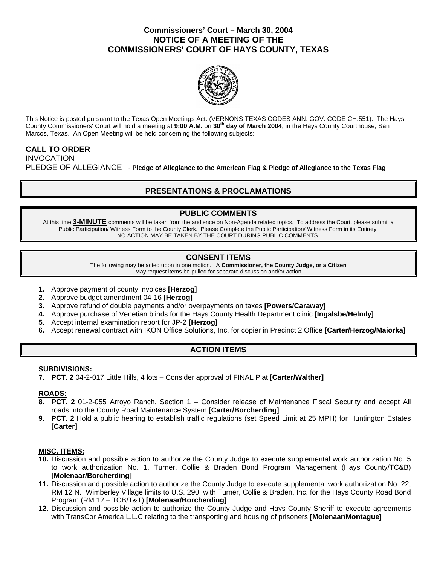## **Commissioners' Court – March 30, 2004 NOTICE OF A MEETING OF THE COMMISSIONERS' COURT OF HAYS COUNTY, TEXAS**



This Notice is posted pursuant to the Texas Open Meetings Act. (VERNONS TEXAS CODES ANN. GOV. CODE CH.551). The Hays County Commissioners' Court will hold a meeting at **9:00 A.M.** on **30th day of March 2004**, in the Hays County Courthouse, San Marcos, Texas. An Open Meeting will be held concerning the following subjects:

# **CALL TO ORDER**

INVOCATION PLEDGE OF ALLEGIANCE - **Pledge of Allegiance to the American Flag & Pledge of Allegiance to the Texas Flag** 

# **PRESENTATIONS & PROCLAMATIONS**

# **PUBLIC COMMENTS**

At this time **3-MINUTE** comments will be taken from the audience on Non-Agenda related topics. To address the Court, please submit a Public Participation/ Witness Form to the County Clerk. Please Complete the Public Participation/ Witness Form in its Entirety. NO ACTION MAY BE TAKEN BY THE COURT DURING PUBLIC COMMENTS.

# **CONSENT ITEMS**

The following may be acted upon in one motion. A **Commissioner, the County Judge, or a Citizen** May request items be pulled for separate discussion and/or action

- **1.** Approve payment of county invoices **[Herzog]**
- **2.** Approve budget amendment 04-16 **[Herzog]**
- **3.** Approve refund of double payments and/or overpayments on taxes **[Powers/Caraway]**
- **4.** Approve purchase of Venetian blinds for the Hays County Health Department clinic **[Ingalsbe/Helmly]**
- **5.** Accept internal examination report for JP-2 **[Herzog]**
- **6.** Accept renewal contract with IKON Office Solutions, Inc. for copier in Precinct 2 Office **[Carter/Herzog/Maiorka]**

# **ACTION ITEMS**

### **SUBDIVISIONS:**

**7. PCT. 2** 04-2-017 Little Hills, 4 lots – Consider approval of FINAL Plat **[Carter/Walther]** 

### **ROADS:**

- **8. PCT. 2** 01-2-055 Arroyo Ranch, Section 1 Consider release of Maintenance Fiscal Security and accept All roads into the County Road Maintenance System **[Carter/Borcherding]**
- **9. PCT. 2** Hold a public hearing to establish traffic regulations (set Speed Limit at 25 MPH) for Huntington Estates **[Carter]**

#### **MISC. ITEMS:**

- **10.** Discussion and possible action to authorize the County Judge to execute supplemental work authorization No. 5 to work authorization No. 1, Turner, Collie & Braden Bond Program Management (Hays County/TC&B) **[Molenaar/Borcherding]**
- **11.** Discussion and possible action to authorize the County Judge to execute supplemental work authorization No. 22, RM 12 N. Wimberley Village limits to U.S. 290, with Turner, Collie & Braden, Inc. for the Hays County Road Bond Program (RM 12 – TCB/T&T) **[Molenaar/Borcherding]**
- **12.** Discussion and possible action to authorize the County Judge and Hays County Sheriff to execute agreements with TransCor America L.L.C relating to the transporting and housing of prisoners **[Molenaar/Montague]**